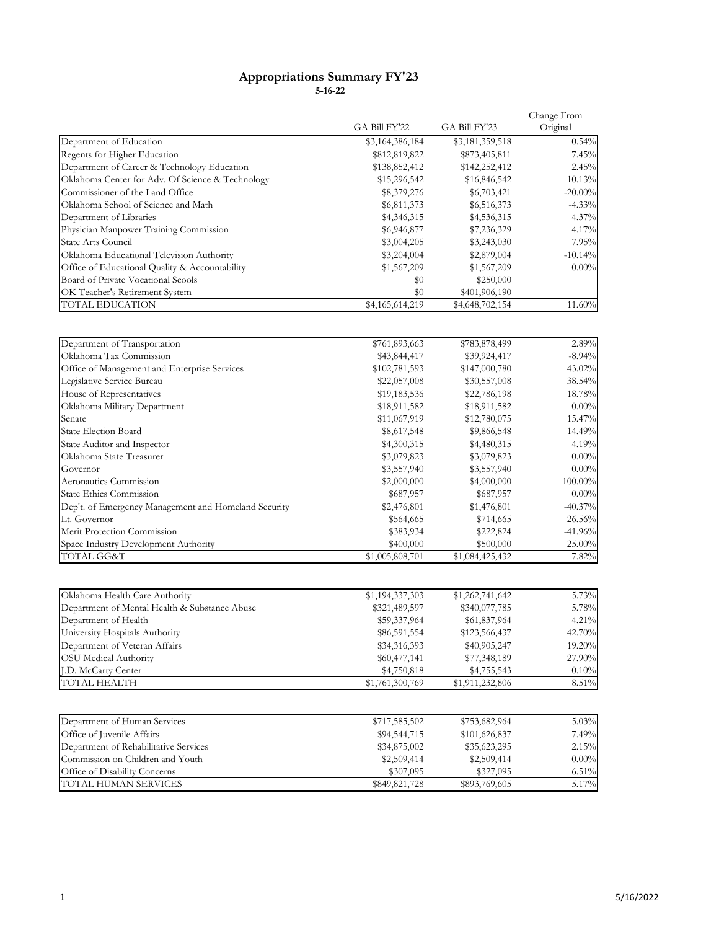## **Appropriations Summary FY'23 5-16-22**

|                                                  |                 | Change From     |            |
|--------------------------------------------------|-----------------|-----------------|------------|
|                                                  | GA Bill FY'22   | GA Bill FY'23   | Original   |
| Department of Education                          | \$3,164,386,184 | \$3,181,359,518 | 0.54%      |
| Regents for Higher Education                     | \$812,819,822   | \$873,405,811   | 7.45%      |
| Department of Career & Technology Education      | \$138,852,412   | \$142,252,412   | 2.45%      |
| Oklahoma Center for Adv. Of Science & Technology | \$15,296,542    | \$16,846,542    | 10.13%     |
| Commissioner of the Land Office                  | \$8,379,276     | \$6,703,421     | $-20.00\%$ |
| Oklahoma School of Science and Math              | \$6,811,373     | \$6,516,373     | $-4.33\%$  |
| Department of Libraries                          | \$4,346,315     | \$4,536,315     | $4.37\%$   |
| Physician Manpower Training Commission           | \$6,946,877     | \$7,236,329     | 4.17%      |
| <b>State Arts Council</b>                        | \$3,004,205     | \$3,243,030     | 7.95%      |
| Oklahoma Educational Television Authority        | \$3,204,004     | \$2,879,004     | $-10.14%$  |
| Office of Educational Quality & Accountability   | \$1,567,209     | \$1,567,209     | $0.00\%$   |
| Board of Private Vocational Scools               | \$0             | \$250,000       |            |
| OK Teacher's Retirement System                   | \$0             | \$401,906,190   |            |
| <b>TOTAL EDUCATION</b>                           | \$4,165,614,219 | \$4,648,702,154 | 11.60%     |
|                                                  |                 |                 |            |

| Department of Transportation                         | \$761,893,663   | \$783,878,499   | 2.89%      |
|------------------------------------------------------|-----------------|-----------------|------------|
| Oklahoma Tax Commission                              | \$43,844,417    | \$39,924,417    | $-8.94\%$  |
| Office of Management and Enterprise Services         | \$102,781,593   | \$147,000,780   | 43.02%     |
| Legislative Service Bureau                           | \$22,057,008    | \$30,557,008    | 38.54%     |
| House of Representatives                             | \$19,183,536    | \$22,786,198    | 18.78%     |
| Oklahoma Military Department                         | \$18,911,582    | \$18,911,582    | $0.00\%$   |
| Senate                                               | \$11,067,919    | \$12,780,075    | 15.47%     |
| <b>State Election Board</b>                          | \$8,617,548     | \$9,866,548     | 14.49%     |
| State Auditor and Inspector                          | \$4,300,315     | \$4,480,315     | 4.19%      |
| Oklahoma State Treasurer                             | \$3,079,823     | \$3,079,823     | $0.00\%$   |
| Governor                                             | \$3,557,940     | \$3,557,940     | $0.00\%$   |
| Aeronautics Commission                               | \$2,000,000     | \$4,000,000     | 100.00%    |
| <b>State Ethics Commission</b>                       | \$687,957       | \$687,957       | $0.00\%$   |
| Dep't. of Emergency Management and Homeland Security | \$2,476,801     | \$1,476,801     | $-40.37\%$ |
| Lt. Governor                                         | \$564,665       | \$714,665       | 26.56%     |
| Merit Protection Commission                          | \$383,934       | \$222,824       | $-41.96%$  |
| Space Industry Development Authority                 | \$400,000       | \$500,000       | 25.00%     |
| TOTAL GG&T                                           | \$1,005,808,701 | \$1,084,425,432 | 7.82%      |

| Oklahoma Health Care Authority                | \$1,194,337,303 | \$1,262,741,642 | 5.73%    |
|-----------------------------------------------|-----------------|-----------------|----------|
| Department of Mental Health & Substance Abuse | \$321,489,597   | \$340,077,785   | 5.78%    |
| Department of Health                          | \$59,337,964    | \$61,837,964    | $4.21\%$ |
| University Hospitals Authority                | \$86,591,554    | \$123,566,437   | 42.70%   |
| Department of Veteran Affairs                 | \$34,316,393    | \$40,905,247    | 19.20%   |
| <b>OSU</b> Medical Authority                  | \$60,477,141    | \$77,348,189    | 27.90%   |
| J.D. McCarty Center                           | \$4,750,818     | \$4,755,543     | 0.10%    |
| TOTAL HEALTH                                  | \$1,761,300,769 | \$1,911,232,806 | 8.51%    |

| Department of Human Services          | \$717,585,502 | \$753,682,964 | 5.03%    |
|---------------------------------------|---------------|---------------|----------|
| Office of Juvenile Affairs            | \$94,544,715  | \$101,626,837 | 7.49%    |
| Department of Rehabilitative Services | \$34,875,002  | \$35,623,295  | 2.15%    |
| Commission on Children and Youth      | \$2,509,414   | \$2,509,414   | $0.00\%$ |
| Office of Disability Concerns         | \$307,095     | \$327,095     | $6.51\%$ |
| TOTAL HUMAN SERVICES                  | \$849,821,728 | \$893,769,605 | 5.17%    |